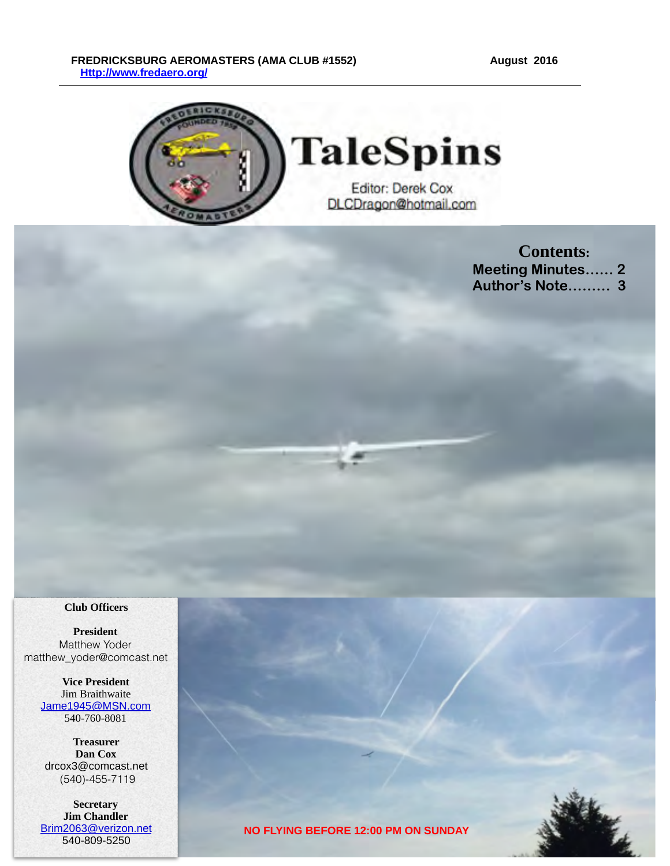#### FREDRICKSBURG AEROMASTERS (AMA CLUB #1552) August 2016  **[Http://www.fredaero.org/](http://www.fredaero.org/)**



**Contents: Meeting Minutes…… 2 Author's Note……… 3** 

#### **Club Officers**

**President** Matthew Yoder matthew\_yoder@comcast.net

> **Vice President** Jim Braithwaite [Jame1945@MSN.com](mailto:knjburnett@comcast.net) 540-760-8081

**Treasurer Dan Cox** drcox3@comcast.net (540)-455-7119

**Secretary Jim Chandler** [Brim2063@verizon.net](mailto:Brim2063@verizon.net?subject=) 540-809-5250

**NO FLYING BEFORE 12:00 PM ON SUNDAY**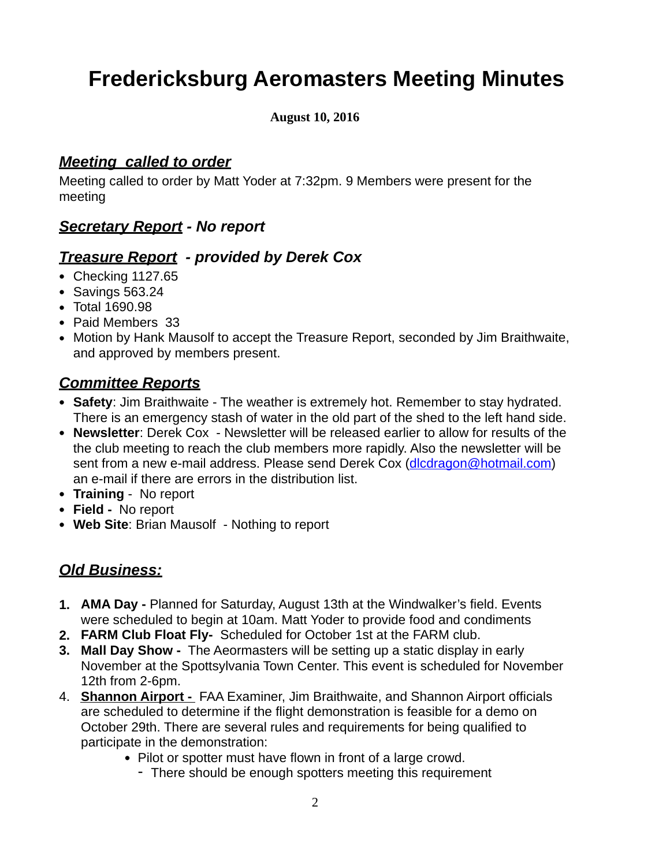# **Fredericksburg Aeromasters Meeting Minutes**

#### **August 10, 2016**

#### *Meeting called to order*

Meeting called to order by Matt Yoder at 7:32pm. 9 Members were present for the meeting

#### *Secretary Report - No report*

#### *Treasure Report - provided by Derek Cox*

- Checking 1127.65
- Savings 563.24
- Total 1690.98
- Paid Members 33
- Motion by Hank Mausolf to accept the Treasure Report, seconded by Jim Braithwaite, and approved by members present.

#### *Committee Reports*

- **Safety**: Jim Braithwaite The weather is extremely hot. Remember to stay hydrated. There is an emergency stash of water in the old part of the shed to the left hand side.
- **Newsletter**: Derek Cox Newsletter will be released earlier to allow for results of the the club meeting to reach the club members more rapidly. Also the newsletter will be sent from a new e-mail address. Please send Derek Cox ([dlcdragon@hotmail.com](mailto:dlcdragon@hotmail.com)) an e-mail if there are errors in the distribution list.
- **Training** No report
- **Field** No report
- **Web Site**: Brian Mausolf Nothing to report

## *Old Business:*

- **1. AMA Day** Planned for Saturday, August 13th at the Windwalker's field. Events were scheduled to begin at 10am. Matt Yoder to provide food and condiments
- **2. FARM Club Float Fly-** Scheduled for October 1st at the FARM club.
- **3. Mall Day Show** The Aeormasters will be setting up a static display in early November at the Spottsylvania Town Center. This event is scheduled for November 12th from 2-6pm.
- 4. **Shannon Airport** FAA Examiner, Jim Braithwaite, and Shannon Airport officials are scheduled to determine if the flight demonstration is feasible for a demo on October 29th. There are several rules and requirements for being qualified to participate in the demonstration:
	- Pilot or spotter must have flown in front of a large crowd.
		- There should be enough spotters meeting this requirement